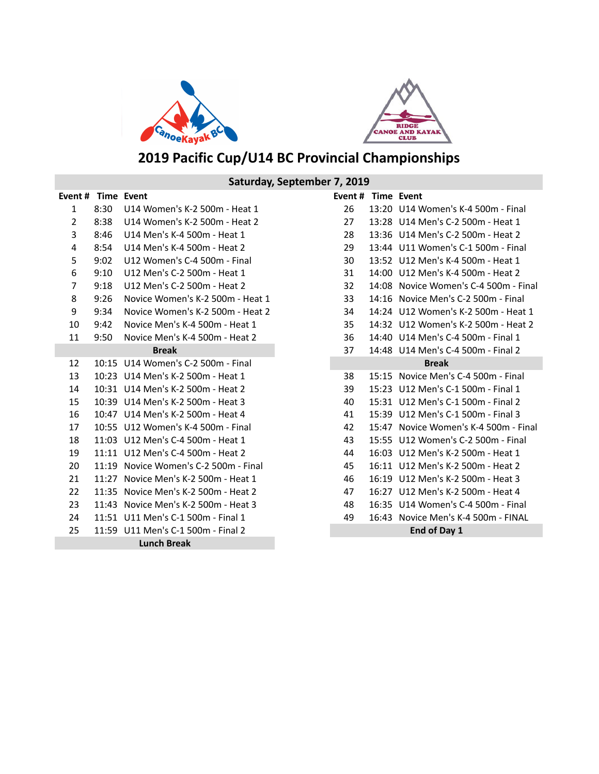



# **2019 Pacific Cup/U14 BC Provincial Championships**

## **Event # Time Event Event # Time Event** 1 8:30 U14 Women's K-2 500m - Heat 1 2 8:38 U14 Women's K-2 500m - Heat 2 3 8:46 U14 Men's K-4 500m - Heat 1 4 8:54 U14 Men's K-4 500m - Heat 2 5 9:02 U12 Women's C-4 500m - Final 6 9:10 U12 Men's C-2 500m - Heat 1 7 9:18 U12 Men's C-2 500m - Heat 2 8 9:26 Novice Women's K-2 500m - Heat 1 9 9:34 Novice Women's K-2 500m - Heat 2 10 9:42 Novice Men's K-4 500m - Heat 1 11 9:50 Novice Men's K-4 500m - Heat 2 12 10:15 U14 Women's C-2 500m - Final 13 10:23 U14 Men's K-2 500m - Heat 1 14 10:31 U14 Men's K-2 500m - Heat 2 15 10:39 U14 Men's K-2 500m - Heat 3 16 10:47 U14 Men's K-2 500m - Heat 4 17 10:55 U12 Women's K-4 500m - Final 18 11:03 U12 Men's C-4 500m - Heat 1 19 11:11 U12 Men's C-4 500m - Heat 2 20 11:19 Novice Women's C-2 500m - Final 21 11:27 Novice Men's K-2 500m - Heat 1 22 11:35 Novice Men's K-2 500m - Heat 2 23 11:43 Novice Men's K-2 500m - Heat 3 24 11:51 U11 Men's C-1 500m - Final 1 25 11:59 U11 Men's C-1 500m - Final 2 Saturday, September 7, 2019 **Lunch Break Break**

| Event #      | <b>Time</b> | Event                           |  |
|--------------|-------------|---------------------------------|--|
| 26           | 13:20       | U14 Women's K-4 500m - Final    |  |
| 27           | 13:28       | U14 Men's C-2 500m - Heat 1     |  |
| 28           | 13:36       | U14 Men's C-2 500m - Heat 2     |  |
| 29           | 13:44       | U11 Women's C-1 500m - Final    |  |
| 30           | 13:52       | U12 Men's K-4 500m - Heat 1     |  |
| 31           | 14:00       | U12 Men's K-4 500m - Heat 2     |  |
| 32           | 14:08       | Novice Women's C-4 500m - Final |  |
| 33           | 14:16       | Novice Men's C-2 500m - Final   |  |
| 34           | 14:24       | U12 Women's K-2 500m - Heat 1   |  |
| 35           | 14:32       | U12 Women's K-2 500m - Heat 2   |  |
| 36           | 14:40       | U14 Men's C-4 500m - Final 1    |  |
| 37           | 14:48       | U14 Men's C-4 500m - Final 2    |  |
|              |             | <b>Break</b>                    |  |
| 38           | 15:15       | Novice Men's C-4 500m - Final   |  |
| 39           | 15:23       | U12 Men's C-1 500m - Final 1    |  |
| 40           | 15:31       | U12 Men's C-1 500m - Final 2    |  |
| 41           | 15:39       | U12 Men's C-1 500m - Final 3    |  |
| 42           | 15:47       | Novice Women's K-4 500m - Final |  |
| 43           | 15:55       | U12 Women's C-2 500m - Final    |  |
| 44           | 16:03       | U12 Men's K-2 500m - Heat 1     |  |
| 45           | 16:11       | U12 Men's K-2 500m - Heat 2     |  |
| 46           | 16:19       | U12 Men's K-2 500m - Heat 3     |  |
| 47           | 16:27       | U12 Men's K-2 500m - Heat 4     |  |
| 48           | 16:35       | U14 Women's C-4 500m - Final    |  |
| 49           | 16:43       | Novice Men's K-4 500m - FINAL   |  |
| End of Day 1 |             |                                 |  |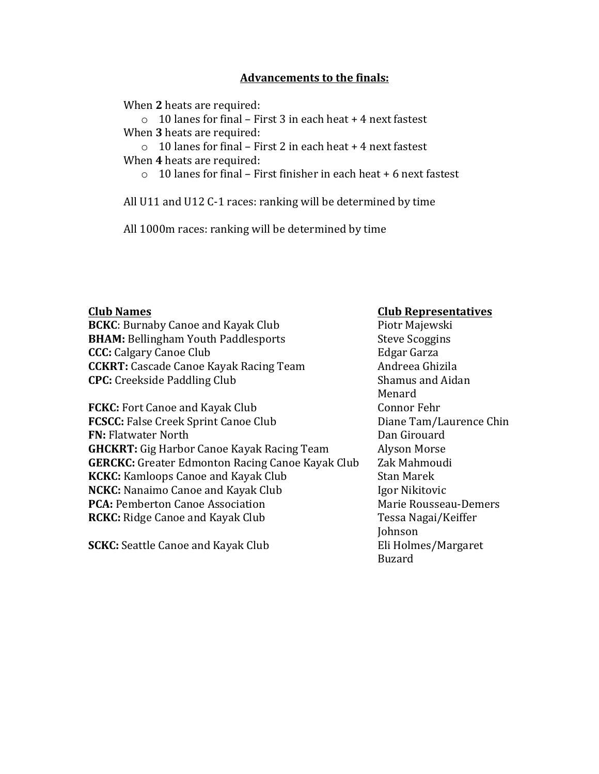## **Advancements to the finals:**

When 2 heats are required:

 $\circ$  10 lanes for final – First 3 in each heat + 4 next fastest When 3 heats are required:

 $\circ$  10 lanes for final – First 2 in each heat + 4 next fastest When 4 heats are required:

 $\circ$  10 lanes for final – First finisher in each heat + 6 next fastest

All  $U11$  and  $U12$  C-1 races: ranking will be determined by time

All 1000m races: ranking will be determined by time

**BCKC**: Burnaby Canoe and Kayak Club Piotr Majewski **BHAM:** Bellingham Youth Paddlesports Steve Scoggins **CCC:** Calgary Canoe Club Edgar Garza **CCKRT:** Cascade Canoe Kayak Racing Team Andreea Ghizila **CPC:** Creekside Paddling Club Shamus and Aidan

**FCKC:** Fort Canoe and Kayak Club Connor Fehr **FCSCC:** False Creek Sprint Canoe Club Diane Tam/Laurence Chin **FN:** Flatwater North **Dan** Girouard **GHCKRT:** Gig Harbor Canoe Kayak Racing Team Alyson Morse **GERCKC:** Greater Edmonton Racing Canoe Kayak Club Zak Mahmoudi **KCKC:** Kamloops Canoe and Kayak Club Stan Marek **NCKC:** Nanaimo Canoe and Kayak Club Igor Nikitovic **PCA:** Pemberton Canoe Association Marie Rousseau-Demers **RCKC:** Ridge Canoe and Kayak Club Tessa Nagai/Keiffer

**SCKC:** Seattle Canoe and Kayak Club Eli Holmes/Margaret

## **Club** Names **Club** Names

Menard Johnson Buzard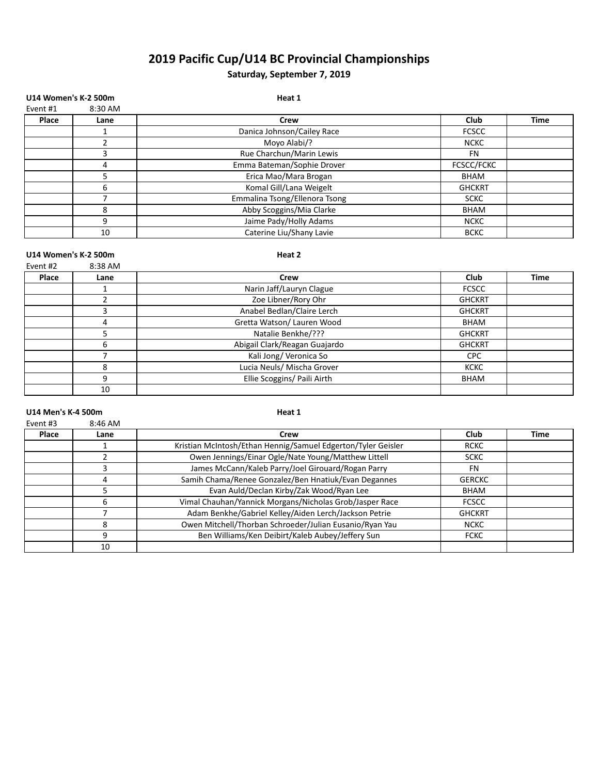# **2019 Pacific Cup/U14 BC Provincial Championships**

## Saturday, September 7, 2019

| <b>U14 Women's K-2 500m</b> |         | Heat 1                        |               |             |
|-----------------------------|---------|-------------------------------|---------------|-------------|
| Event #1                    | 8:30 AM |                               |               |             |
| Place                       | Lane    | Crew                          | Club          | <b>Time</b> |
|                             |         | Danica Johnson/Cailey Race    | <b>FCSCC</b>  |             |
|                             |         | Moyo Alabi/?                  | <b>NCKC</b>   |             |
|                             | 3       | Rue Charchun/Marin Lewis      | <b>FN</b>     |             |
|                             | 4       | Emma Bateman/Sophie Drover    | FCSCC/FCKC    |             |
|                             |         | Erica Mao/Mara Brogan         | <b>BHAM</b>   |             |
|                             | 6       | Komal Gill/Lana Weigelt       | <b>GHCKRT</b> |             |
|                             |         | Emmalina Tsong/Ellenora Tsong | <b>SCKC</b>   |             |
|                             | 8       | Abby Scoggins/Mia Clarke      | <b>BHAM</b>   |             |
|                             | 9       | Jaime Pady/Holly Adams        | <b>NCKC</b>   |             |
|                             | 10      | Caterine Liu/Shany Lavie      | <b>BCKC</b>   |             |
|                             |         |                               |               |             |

#### U14 Women's K-2 500m Event #2 8:38 AM

| Place | Lane | Crew                          | Club          | Time |
|-------|------|-------------------------------|---------------|------|
|       |      | Narin Jaff/Lauryn Clague      | <b>FCSCC</b>  |      |
|       |      | Zoe Libner/Rory Ohr           | <b>GHCKRT</b> |      |
|       |      | Anabel Bedlan/Claire Lerch    | <b>GHCKRT</b> |      |
|       | 4    | Gretta Watson/ Lauren Wood    | BHAM          |      |
|       |      | Natalie Benkhe/???            | <b>GHCKRT</b> |      |
|       | h    | Abigail Clark/Reagan Guajardo | <b>GHCKRT</b> |      |
|       |      | Kali Jong/Veronica So         | <b>CPC</b>    |      |
|       | 8    | Lucia Neuls/ Mischa Grover    | <b>KCKC</b>   |      |
|       | q    | Ellie Scoggins/ Paili Airth   | BHAM          |      |
|       | 10   |                               |               |      |

### U14 Men's K-4 500m and the state of the state of the state of the state of the state of the state of the state of the state of the state of the state of the state of the state of the state of the state of the state of the

| Event #3 | $8:46$ AM |                                                              |               |             |
|----------|-----------|--------------------------------------------------------------|---------------|-------------|
| Place    | Lane      | Crew                                                         | Club          | <b>Time</b> |
|          |           | Kristian McIntosh/Ethan Hennig/Samuel Edgerton/Tyler Geisler | <b>RCKC</b>   |             |
|          |           | Owen Jennings/Einar Ogle/Nate Young/Matthew Littell          | <b>SCKC</b>   |             |
|          |           | James McCann/Kaleb Parry/Joel Girouard/Rogan Parry           | FN            |             |
|          | 4         | Samih Chama/Renee Gonzalez/Ben Hnatiuk/Evan Degannes         | <b>GERCKC</b> |             |
|          |           | Evan Auld/Declan Kirby/Zak Wood/Ryan Lee                     | BHAM          |             |
|          | h         | Vimal Chauhan/Yannick Morgans/Nicholas Grob/Jasper Race      | <b>FCSCC</b>  |             |
|          |           | Adam Benkhe/Gabriel Kelley/Aiden Lerch/Jackson Petrie        | <b>GHCKRT</b> |             |
|          | 8         | Owen Mitchell/Thorban Schroeder/Julian Eusanio/Ryan Yau      | <b>NCKC</b>   |             |
|          | q         | Ben Williams/Ken Deibirt/Kaleb Aubey/Jeffery Sun             | <b>FCKC</b>   |             |
|          | 10        |                                                              |               |             |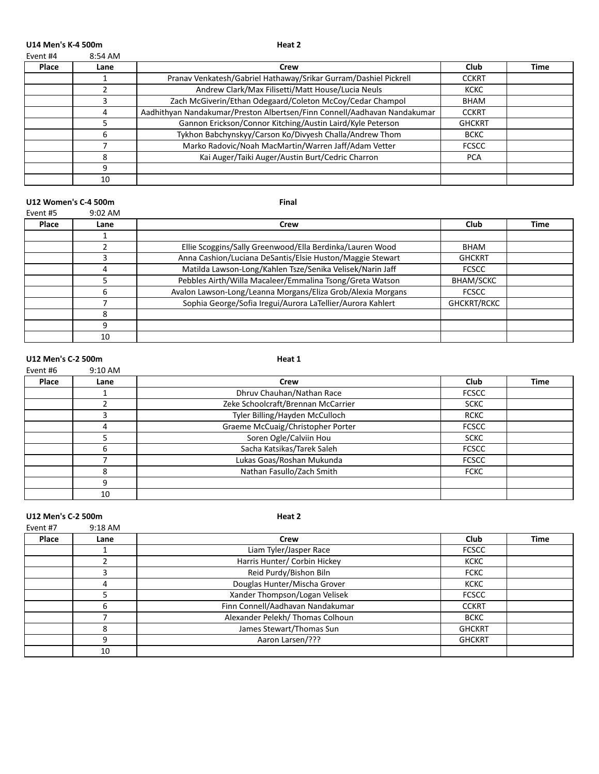U14 Men's K-4 500m and the state of the state of the state of the state of the state of the state of the state of the state of the state of the state of the state of the state of the state of the state of the state of the

| Event #4 | 8:54 AM |
|----------|---------|
|          |         |

| Place | Lane | Crew                                                                     | Club          | Time |
|-------|------|--------------------------------------------------------------------------|---------------|------|
|       |      | Pranav Venkatesh/Gabriel Hathaway/Srikar Gurram/Dashiel Pickrell         | <b>CCKRT</b>  |      |
|       |      | Andrew Clark/Max Filisetti/Matt House/Lucia Neuls                        | <b>KCKC</b>   |      |
|       |      | Zach McGiverin/Ethan Odegaard/Coleton McCoy/Cedar Champol                | BHAM          |      |
|       |      | Aadhithyan Nandakumar/Preston Albertsen/Finn Connell/Aadhavan Nandakumar | <b>CCKRT</b>  |      |
|       |      | Gannon Erickson/Connor Kitching/Austin Laird/Kyle Peterson               | <b>GHCKRT</b> |      |
|       |      | Tykhon Babchynskyy/Carson Ko/Divyesh Challa/Andrew Thom                  | <b>BCKC</b>   |      |
|       |      | Marko Radovic/Noah MacMartin/Warren Jaff/Adam Vetter                     | <b>FCSCC</b>  |      |
|       |      | Kai Auger/Taiki Auger/Austin Burt/Cedric Charron                         | <b>PCA</b>    |      |
|       |      |                                                                          |               |      |
|       | 10   |                                                                          |               |      |

#### U12 Women's C-4 500m and the state of the state of the state of the state of the state of the state of the state of the state of the state of the state of the state of the state of the state of the state of the state of th

| Event #5 | $9:02$ AM |                                                             |                  |             |
|----------|-----------|-------------------------------------------------------------|------------------|-------------|
| Place    | Lane      | Crew                                                        | Club             | <b>Time</b> |
|          |           |                                                             |                  |             |
|          |           | Ellie Scoggins/Sally Greenwood/Ella Berdinka/Lauren Wood    | BHAM             |             |
|          |           | Anna Cashion/Luciana DeSantis/Elsie Huston/Maggie Stewart   | <b>GHCKRT</b>    |             |
|          | 4         | Matilda Lawson-Long/Kahlen Tsze/Senika Velisek/Narin Jaff   | <b>FCSCC</b>     |             |
|          |           | Pebbles Airth/Willa Macaleer/Emmalina Tsong/Greta Watson    | <b>BHAM/SCKC</b> |             |
|          | 6         | Avalon Lawson-Long/Leanna Morgans/Eliza Grob/Alexia Morgans | <b>FCSCC</b>     |             |
|          |           | Sophia George/Sofia Iregui/Aurora LaTellier/Aurora Kahlert  | GHCKRT/RCKC      |             |
|          | 8         |                                                             |                  |             |
|          | q         |                                                             |                  |             |
|          | 10        |                                                             |                  |             |

#### U12 Men's C-2 500m **Heat 1**

| Event #6 | $9:10$ AM |                                    |              |      |
|----------|-----------|------------------------------------|--------------|------|
| Place    | Lane      | Crew                               | Club         | Time |
|          |           | Dhruv Chauhan/Nathan Race          | <b>FCSCC</b> |      |
|          |           | Zeke Schoolcraft/Brennan McCarrier | <b>SCKC</b>  |      |
|          |           | Tyler Billing/Hayden McCulloch     | <b>RCKC</b>  |      |
|          | 4         | Graeme McCuaig/Christopher Porter  | <b>FCSCC</b> |      |
|          |           | Soren Ogle/Calviin Hou             | <b>SCKC</b>  |      |
|          | 6         | Sacha Katsikas/Tarek Saleh         | <b>FCSCC</b> |      |
|          |           | Lukas Goas/Roshan Mukunda          | <b>FCSCC</b> |      |
|          | 8         | Nathan Fasullo/Zach Smith          | <b>FCKC</b>  |      |
|          | q         |                                    |              |      |
|          | 10        |                                    |              |      |

U12 Men's C-2 500m **Heat 2** 

| Event #7 | $9:18$ AM |                                  |               |             |
|----------|-----------|----------------------------------|---------------|-------------|
| Place    | Lane      | Crew                             | <b>Club</b>   | <b>Time</b> |
|          |           | Liam Tyler/Jasper Race           | <b>FCSCC</b>  |             |
|          |           | Harris Hunter/ Corbin Hickey     | <b>KCKC</b>   |             |
|          |           | Reid Purdy/Bishon Biln           | <b>FCKC</b>   |             |
|          | 4         | Douglas Hunter/Mischa Grover     | <b>KCKC</b>   |             |
|          |           | Xander Thompson/Logan Velisek    | <b>FCSCC</b>  |             |
|          | b         | Finn Connell/Aadhavan Nandakumar | <b>CCKRT</b>  |             |
|          |           | Alexander Pelekh/Thomas Colhoun  | <b>BCKC</b>   |             |
|          | 8         | James Stewart/Thomas Sun         | <b>GHCKRT</b> |             |
|          | q         | Aaron Larsen/???                 | <b>GHCKRT</b> |             |
|          | 10        |                                  |               |             |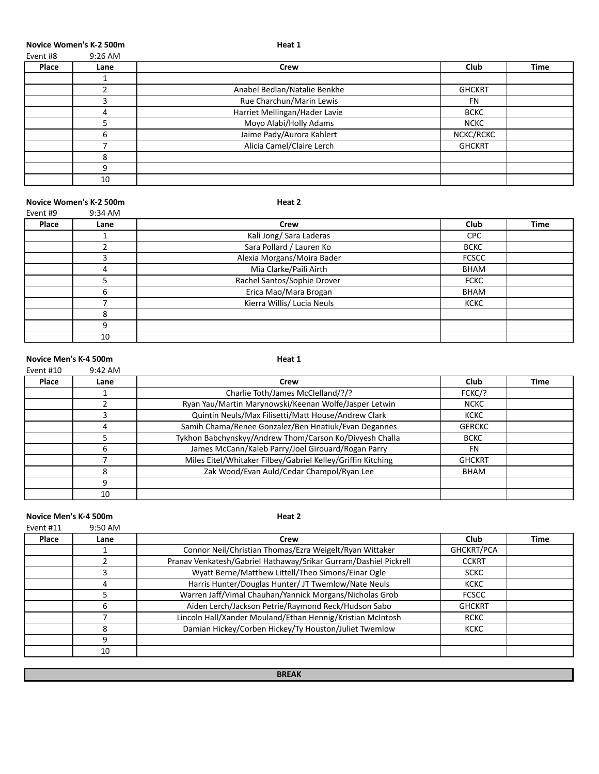**Novice Women's K-2 500m Heat 1** 

| Event #8 | $9:26$ AM |
|----------|-----------|
|          |           |

| Place | Lane | Crew                          | <b>Club</b>   | <b>Time</b> |
|-------|------|-------------------------------|---------------|-------------|
|       |      |                               |               |             |
|       |      | Anabel Bedlan/Natalie Benkhe  | <b>GHCKRT</b> |             |
|       |      | Rue Charchun/Marin Lewis      | <b>FN</b>     |             |
|       | 4    | Harriet Mellingan/Hader Lavie | <b>BCKC</b>   |             |
|       |      | Moyo Alabi/Holly Adams        | <b>NCKC</b>   |             |
|       |      | Jaime Pady/Aurora Kahlert     | NCKC/RCKC     |             |
|       |      | Alicia Camel/Claire Lerch     | <b>GHCKRT</b> |             |
|       | я    |                               |               |             |
|       |      |                               |               |             |
|       | 10   |                               |               |             |

#### **Novice Women's K-2 500m Heat 2**

| Event #9 | 9:34 AM |                             |              |             |
|----------|---------|-----------------------------|--------------|-------------|
| Place    | Lane    | <b>Crew</b>                 | Club         | <b>Time</b> |
|          |         | Kali Jong/ Sara Laderas     | <b>CPC</b>   |             |
|          |         | Sara Pollard / Lauren Ko    | <b>BCKC</b>  |             |
|          |         | Alexia Morgans/Moira Bader  | <b>FCSCC</b> |             |
|          | 4       | Mia Clarke/Paili Airth      | BHAM         |             |
|          |         | Rachel Santos/Sophie Drover | <b>FCKC</b>  |             |
|          | h       | Erica Mao/Mara Brogan       | BHAM         |             |
|          |         | Kierra Willis/ Lucia Neuls  | <b>KCKC</b>  |             |
|          | 8       |                             |              |             |
|          | ٩       |                             |              |             |
|          | 10      |                             |              |             |

#### **Novice Men's K-4 500m Heat 1** Event #10 9:42 AM

| Place | Lane | Crew                                                        | Club          | Time |
|-------|------|-------------------------------------------------------------|---------------|------|
|       |      | Charlie Toth/James McClelland/?/?                           | FCKC/?        |      |
|       |      | Ryan Yau/Martin Marynowski/Keenan Wolfe/Jasper Letwin       | <b>NCKC</b>   |      |
|       |      | Quintin Neuls/Max Filisetti/Matt House/Andrew Clark         | <b>KCKC</b>   |      |
|       |      | Samih Chama/Renee Gonzalez/Ben Hnatiuk/Evan Degannes        | <b>GERCKC</b> |      |
|       |      | Tykhon Babchynskyy/Andrew Thom/Carson Ko/Divyesh Challa     | <b>BCKC</b>   |      |
|       |      | James McCann/Kaleb Parry/Joel Girouard/Rogan Parry          | FN            |      |
|       |      | Miles Eitel/Whitaker Filbey/Gabriel Kelley/Griffin Kitching | <b>GHCKRT</b> |      |
|       |      | Zak Wood/Evan Auld/Cedar Champol/Ryan Lee                   | BHAM          |      |
|       |      |                                                             |               |      |
|       | 10   |                                                             |               |      |

#### **Novice Men's K-4 500m Heat 2**

| Event #11 | $9:50$ AM |                                                                  |               |             |
|-----------|-----------|------------------------------------------------------------------|---------------|-------------|
| Place     | Lane      | Crew                                                             | <b>Club</b>   | <b>Time</b> |
|           |           | Connor Neil/Christian Thomas/Ezra Weigelt/Ryan Wittaker          | GHCKRT/PCA    |             |
|           |           | Pranav Venkatesh/Gabriel Hathaway/Srikar Gurram/Dashiel Pickrell | <b>CCKRT</b>  |             |
|           | 3         | Wyatt Berne/Matthew Littell/Theo Simons/Einar Ogle               | <b>SCKC</b>   |             |
|           | 4         | Harris Hunter/Douglas Hunter/ JT Twemlow/Nate Neuls              | <b>KCKC</b>   |             |
|           |           | Warren Jaff/Vimal Chauhan/Yannick Morgans/Nicholas Grob          | <b>FCSCC</b>  |             |
|           | 6         | Aiden Lerch/Jackson Petrie/Raymond Reck/Hudson Sabo              | <b>GHCKRT</b> |             |
|           |           | Lincoln Hall/Xander Mouland/Ethan Hennig/Kristian McIntosh       | <b>RCKC</b>   |             |
|           | 8         | Damian Hickey/Corben Hickey/Ty Houston/Juliet Twemlow            | <b>KCKC</b>   |             |
|           | 9         |                                                                  |               |             |
|           | 10        |                                                                  |               |             |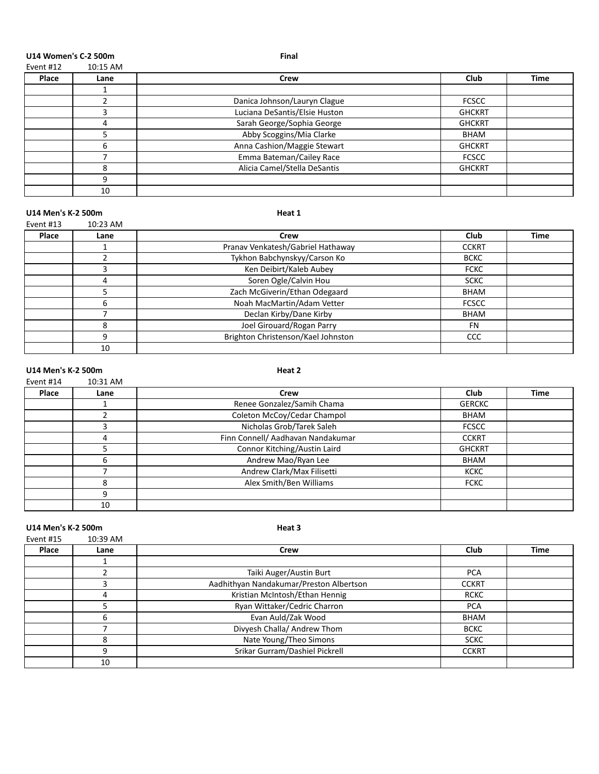**U14 Women's C-2 500m Final**

| Event #12 | 10:15 AM |  |
|-----------|----------|--|
|           |          |  |

| Place | Lane | Crew                          | Club          | <b>Time</b> |
|-------|------|-------------------------------|---------------|-------------|
|       |      |                               |               |             |
|       |      | Danica Johnson/Lauryn Clague  | <b>FCSCC</b>  |             |
|       |      | Luciana DeSantis/Elsie Huston | <b>GHCKRT</b> |             |
|       | Д    | Sarah George/Sophia George    | <b>GHCKRT</b> |             |
|       |      | Abby Scoggins/Mia Clarke      | BHAM          |             |
|       | h    | Anna Cashion/Maggie Stewart   | <b>GHCKRT</b> |             |
|       |      | Emma Bateman/Cailey Race      | <b>FCSCC</b>  |             |
|       | Զ    | Alicia Camel/Stella DeSantis  | <b>GHCKRT</b> |             |
|       | 9    |                               |               |             |
|       | 10   |                               |               |             |

#### U14 Men's K-2 500m **Heat 1**

| Event #13 | 10:23 AM |                                    |              |             |
|-----------|----------|------------------------------------|--------------|-------------|
| Place     | Lane     | Crew                               | Club         | <b>Time</b> |
|           |          | Pranav Venkatesh/Gabriel Hathaway  | <b>CCKRT</b> |             |
|           |          | Tykhon Babchynskyy/Carson Ko       | <b>BCKC</b>  |             |
|           |          | Ken Deibirt/Kaleb Aubey            | <b>FCKC</b>  |             |
|           | 4        | Soren Ogle/Calvin Hou              | <b>SCKC</b>  |             |
|           |          | Zach McGiverin/Ethan Odegaard      | BHAM         |             |
|           | 6        | Noah MacMartin/Adam Vetter         | <b>FCSCC</b> |             |
|           |          | Declan Kirby/Dane Kirby            | <b>BHAM</b>  |             |
|           | 8        | Joel Girouard/Rogan Parry          | <b>FN</b>    |             |
|           | 9        | Brighton Christenson/Kael Johnston | <b>CCC</b>   |             |
|           | 10       |                                    |              |             |

#### U14 Men's K-2 500m **Heat 2**

Event #14 10:31 AM

| Place | Lane | Crew                              | Club          | Time |
|-------|------|-----------------------------------|---------------|------|
|       |      | Renee Gonzalez/Samih Chama        | <b>GERCKC</b> |      |
|       |      | Coleton McCoy/Cedar Champol       | BHAM          |      |
|       |      | Nicholas Grob/Tarek Saleh         | <b>FCSCC</b>  |      |
|       |      | Finn Connell/ Aadhavan Nandakumar | <b>CCKRT</b>  |      |
|       |      | Connor Kitching/Austin Laird      | <b>GHCKRT</b> |      |
|       |      | Andrew Mao/Ryan Lee               | <b>BHAM</b>   |      |
|       |      | Andrew Clark/Max Filisetti        | <b>KCKC</b>   |      |
|       | ጸ    | Alex Smith/Ben Williams           | <b>FCKC</b>   |      |
|       | q    |                                   |               |      |
|       | 10   |                                   |               |      |

#### U14 Men's K-2 500m and the state of the state of the state of the state of the state of the state of the state of the state of the state of the state of the state of the state of the state of the state of the state of the

Event #15 10:39 AM **Place Lane Crew Club Time** 1<br>2 Taiki Auger/Austin Burt PCA 3 Aadhithyan Nandakumar/Preston Albertson **CCKRT** 4 | Kristian McIntosh/Ethan Hennig | RCKC 5 Ryan Wittaker/Cedric Charron PCA **Evan Auld/Zak Wood** BHAM 7 Divyesh Challa/ Andrew Thom and BCKC 8 Nate Young/Theo Simons SCKC 9 Srikar Gurram/Dashiel Pickrell CCKRT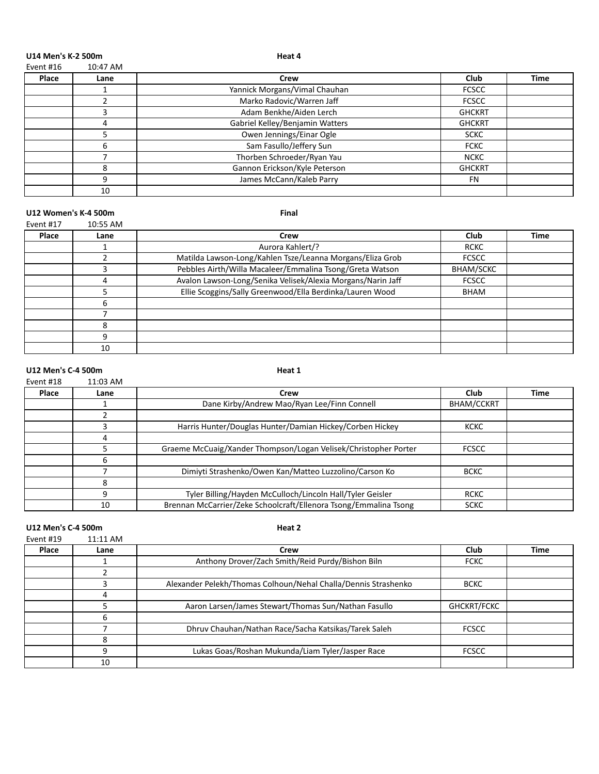U14 Men's K-2 500m and the state of the state of the state of the Heat 4

| Event #16 | 10:47 AM |  |
|-----------|----------|--|
|           |          |  |

| Place | Lane | Crew                            | Club          | <b>Time</b> |
|-------|------|---------------------------------|---------------|-------------|
|       |      | Yannick Morgans/Vimal Chauhan   | <b>FCSCC</b>  |             |
|       |      | Marko Radovic/Warren Jaff       | <b>FCSCC</b>  |             |
|       |      | Adam Benkhe/Aiden Lerch         | <b>GHCKRT</b> |             |
|       | Δ    | Gabriel Kelley/Benjamin Watters | <b>GHCKRT</b> |             |
|       |      | Owen Jennings/Einar Ogle        | <b>SCKC</b>   |             |
|       | 6    | Sam Fasullo/Jeffery Sun         | <b>FCKC</b>   |             |
|       |      | Thorben Schroeder/Ryan Yau      | <b>NCKC</b>   |             |
|       | 8    | Gannon Erickson/Kyle Peterson   | <b>GHCKRT</b> |             |
|       | q    | James McCann/Kaleb Parry        | <b>FN</b>     |             |
|       | 10   |                                 |               |             |

#### U12 Women's K-4 500m and the state of the state of the state of the state of the state of the state of the state of the state of the state of the state of the state of the state of the state of the state of the state of th

| Event #17 | 10:55 AM |
|-----------|----------|
|           |          |

| Place | Lane | Crew                                                        | Club         | <b>Time</b> |
|-------|------|-------------------------------------------------------------|--------------|-------------|
|       |      | Aurora Kahlert/?                                            | <b>RCKC</b>  |             |
|       |      | Matilda Lawson-Long/Kahlen Tsze/Leanna Morgans/Eliza Grob   | <b>FCSCC</b> |             |
|       |      | Pebbles Airth/Willa Macaleer/Emmalina Tsong/Greta Watson    | BHAM/SCKC    |             |
|       | 4    | Avalon Lawson-Long/Senika Velisek/Alexia Morgans/Narin Jaff | <b>FCSCC</b> |             |
|       |      | Ellie Scoggins/Sally Greenwood/Ella Berdinka/Lauren Wood    | BHAM         |             |
|       | 6    |                                                             |              |             |
|       |      |                                                             |              |             |
|       | 8    |                                                             |              |             |
|       | q    |                                                             |              |             |
|       | 10   |                                                             |              |             |

#### U12 Men's C-4 500m **Heat 1**

| Event #18 | $11:03$ AM |                                                                  |                   |      |
|-----------|------------|------------------------------------------------------------------|-------------------|------|
| Place     | Lane       | Crew                                                             | <b>Club</b>       | Time |
|           |            | Dane Kirby/Andrew Mao/Ryan Lee/Finn Connell                      | <b>BHAM/CCKRT</b> |      |
|           |            |                                                                  |                   |      |
|           |            | Harris Hunter/Douglas Hunter/Damian Hickey/Corben Hickey         | <b>KCKC</b>       |      |
|           | 4          |                                                                  |                   |      |
|           |            | Graeme McCuaig/Xander Thompson/Logan Velisek/Christopher Porter  | <b>FCSCC</b>      |      |
|           | 6          |                                                                  |                   |      |
|           |            | Dimiyti Strashenko/Owen Kan/Matteo Luzzolino/Carson Ko           | <b>BCKC</b>       |      |
|           | 8          |                                                                  |                   |      |
|           | q          | Tyler Billing/Hayden McCulloch/Lincoln Hall/Tyler Geisler        | <b>RCKC</b>       |      |
|           | 10         | Brennan McCarrier/Zeke Schoolcraft/Ellenora Tsong/Emmalina Tsong | <b>SCKC</b>       |      |

### U12 Men's C-4 500m **Heat 2**

| Event #19 | 11:11 AM |                                                                |              |      |
|-----------|----------|----------------------------------------------------------------|--------------|------|
| Place     | Lane     | Crew                                                           | Club         | Time |
|           |          | Anthony Drover/Zach Smith/Reid Purdy/Bishon Biln               | <b>FCKC</b>  |      |
|           |          |                                                                |              |      |
|           |          | Alexander Pelekh/Thomas Colhoun/Nehal Challa/Dennis Strashenko | <b>BCKC</b>  |      |
|           | 4        |                                                                |              |      |
|           |          | Aaron Larsen/James Stewart/Thomas Sun/Nathan Fasullo           | GHCKRT/FCKC  |      |
|           | 6        |                                                                |              |      |
|           |          | Dhruv Chauhan/Nathan Race/Sacha Katsikas/Tarek Saleh           | <b>FCSCC</b> |      |
|           | 8        |                                                                |              |      |
|           | q        | Lukas Goas/Roshan Mukunda/Liam Tyler/Jasper Race               | <b>FCSCC</b> |      |
|           | 10       |                                                                |              |      |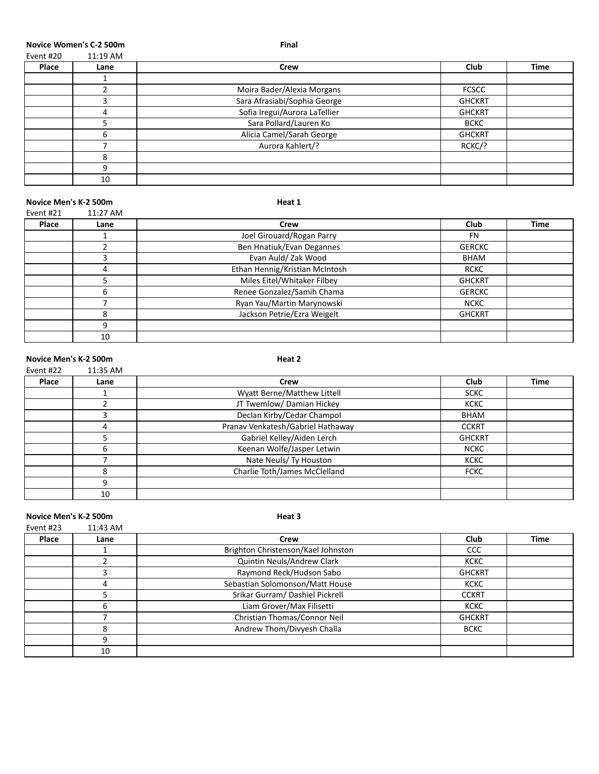**Novice Women's C-2 500m Final** 

| Event #20 | 11:19 AM |
|-----------|----------|
|           |          |

| Place | Lane | Crew                          | Club          | <b>Time</b> |
|-------|------|-------------------------------|---------------|-------------|
|       |      |                               |               |             |
|       |      | Moira Bader/Alexia Morgans    | <b>FCSCC</b>  |             |
|       |      | Sara Afrasiabi/Sophia George  | <b>GHCKRT</b> |             |
|       | 4    | Sofia Iregui/Aurora LaTellier | <b>GHCKRT</b> |             |
|       |      | Sara Pollard/Lauren Ko        | <b>BCKC</b>   |             |
|       |      | Alicia Camel/Sarah George     | <b>GHCKRT</b> |             |
|       |      | Aurora Kahlert/?              | RCKC/?        |             |
|       |      |                               |               |             |
|       | q    |                               |               |             |
|       | 10   |                               |               |             |

#### **Novice Men's K-2 500m Heat 1**

| Event #21 | 11:27 AM |                                |               |             |
|-----------|----------|--------------------------------|---------------|-------------|
| Place     | Lane     | Crew                           | Club          | <b>Time</b> |
|           |          | Joel Girouard/Rogan Parry      | <b>FN</b>     |             |
|           |          | Ben Hnatiuk/Evan Degannes      | <b>GERCKC</b> |             |
|           |          | Evan Auld/ Zak Wood            | BHAM          |             |
|           | 4        | Ethan Hennig/Kristian McIntosh | <b>RCKC</b>   |             |
|           |          | Miles Eitel/Whitaker Filbey    | <b>GHCKRT</b> |             |
|           | h        | Renee Gonzalez/Samih Chama     | <b>GERCKC</b> |             |
|           |          | Ryan Yau/Martin Marynowski     | <b>NCKC</b>   |             |
|           | 8        | Jackson Petrie/Ezra Weigelt    | <b>GHCKRT</b> |             |
|           | q        |                                |               |             |
|           | 10       |                                |               |             |

#### **Novice Men's K-2 500m Heat 2**

| Event #22 | 11:35 AM |                                   |               |             |
|-----------|----------|-----------------------------------|---------------|-------------|
| Place     | Lane     | Crew                              | Club          | <b>Time</b> |
|           |          | Wyatt Berne/Matthew Littell       | <b>SCKC</b>   |             |
|           |          | JT Twemlow/ Damian Hickey         | <b>KCKC</b>   |             |
|           |          | Declan Kirby/Cedar Champol        | BHAM          |             |
|           | 4        | Pranav Venkatesh/Gabriel Hathaway | <b>CCKRT</b>  |             |
|           |          | Gabriel Kelley/Aiden Lerch        | <b>GHCKRT</b> |             |
|           | 6        | Keenan Wolfe/Jasper Letwin        | <b>NCKC</b>   |             |
|           |          | Nate Neuls/ Ty Houston            | <b>KCKC</b>   |             |
|           | 8        | Charlie Toth/James McClelland     | <b>FCKC</b>   |             |
|           | q        |                                   |               |             |
|           | 10       |                                   |               |             |

**Novice Men's K-2 500m Heat 3** 

| Event #23 | 11:43 AM |                                    |               |             |
|-----------|----------|------------------------------------|---------------|-------------|
| Place     | Lane     | Crew                               | Club          | <b>Time</b> |
|           |          | Brighton Christenson/Kael Johnston | <b>CCC</b>    |             |
|           |          | Quintin Neuls/Andrew Clark         | <b>KCKC</b>   |             |
|           |          | Raymond Reck/Hudson Sabo           | <b>GHCKRT</b> |             |
|           | 4        | Sebastian Solomonson/Matt House    | <b>KCKC</b>   |             |
|           |          | Srikar Gurram/ Dashiel Pickrell    | <b>CCKRT</b>  |             |
|           | 6        | Liam Grover/Max Filisetti          | <b>KCKC</b>   |             |
|           |          | Christian Thomas/Connor Neil       | <b>GHCKRT</b> |             |
|           | 8        | Andrew Thom/Divyesh Challa         | <b>BCKC</b>   |             |
|           | q        |                                    |               |             |
|           | 10       |                                    |               |             |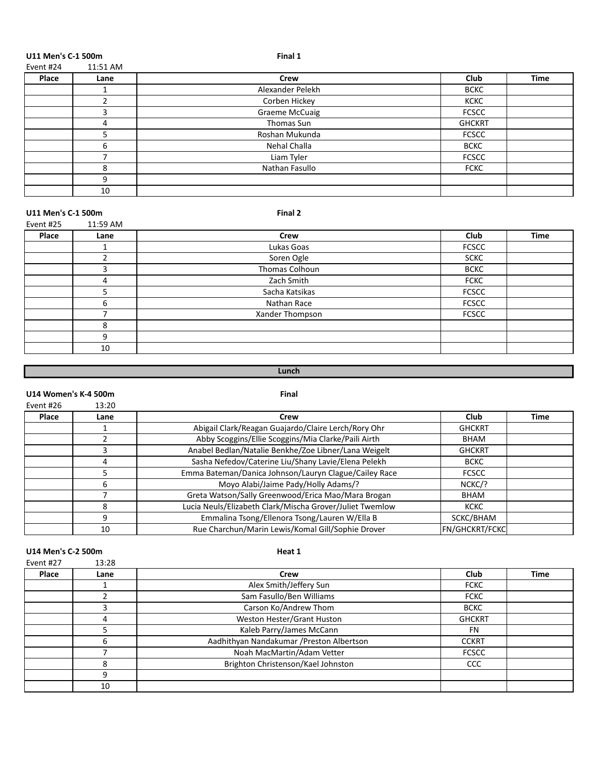**U11 Men's C-1 500m Final 1**<br>Final 1 **Final 1** 

| Event #24 | 11:51 AM |                       |               |             |
|-----------|----------|-----------------------|---------------|-------------|
| Place     | Lane     | Crew                  | Club          | <b>Time</b> |
|           |          | Alexander Pelekh      | <b>BCKC</b>   |             |
|           |          | Corben Hickey         | <b>KCKC</b>   |             |
|           |          | <b>Graeme McCuaig</b> | <b>FCSCC</b>  |             |
|           | 4        | Thomas Sun            | <b>GHCKRT</b> |             |
|           |          | Roshan Mukunda        | <b>FCSCC</b>  |             |
|           | h        | Nehal Challa          | <b>BCKC</b>   |             |
|           |          | Liam Tyler            | <b>FCSCC</b>  |             |
|           | Զ        | Nathan Fasullo        | <b>FCKC</b>   |             |
|           | 9        |                       |               |             |
|           | 10       |                       |               |             |

#### U11 Men's C-1 500m **Final 2**

| Event #25 | 11:59 AM |                 |              |             |
|-----------|----------|-----------------|--------------|-------------|
| Place     | Lane     | <b>Crew</b>     | Club         | <b>Time</b> |
|           |          | Lukas Goas      | <b>FCSCC</b> |             |
|           | C.       | Soren Ogle      | <b>SCKC</b>  |             |
|           | 3        | Thomas Colhoun  | <b>BCKC</b>  |             |
|           | 4        | Zach Smith      | <b>FCKC</b>  |             |
|           |          | Sacha Katsikas  | <b>FCSCC</b> |             |
|           | 6        | Nathan Race     | <b>FCSCC</b> |             |
|           |          | Xander Thompson | <b>FCSCC</b> |             |
|           | 8        |                 |              |             |
|           | 9        |                 |              |             |
|           | 10       |                 |              |             |
|           |          |                 |              |             |

# **Lunch**

#### U14 Women's K-4 500m

| Event #26 | 13:20 |                                                          |                  |      |
|-----------|-------|----------------------------------------------------------|------------------|------|
| Place     | Lane  | Crew                                                     | Club             | Time |
|           |       | Abigail Clark/Reagan Guajardo/Claire Lerch/Rory Ohr      | <b>GHCKRT</b>    |      |
|           |       | Abby Scoggins/Ellie Scoggins/Mia Clarke/Paili Airth      | BHAM             |      |
|           | Р     | Anabel Bedlan/Natalie Benkhe/Zoe Libner/Lana Weigelt     | <b>GHCKRT</b>    |      |
|           | 4     | Sasha Nefedov/Caterine Liu/Shany Lavie/Elena Pelekh      | <b>BCKC</b>      |      |
|           |       | Emma Bateman/Danica Johnson/Lauryn Clague/Cailey Race    | <b>FCSCC</b>     |      |
|           | 6     | Moyo Alabi/Jaime Pady/Holly Adams/?                      | NCKC/?           |      |
|           |       | Greta Watson/Sally Greenwood/Erica Mao/Mara Brogan       | <b>BHAM</b>      |      |
|           | 8     | Lucia Neuls/Elizabeth Clark/Mischa Grover/Juliet Twemlow | <b>KCKC</b>      |      |
|           | 9     | Emmalina Tsong/Ellenora Tsong/Lauren W/Ella B            | SCKC/BHAM        |      |
|           | 10    | Rue Charchun/Marin Lewis/Komal Gill/Sophie Drover        | lfn/ghckrt/fckcl |      |

#### U14 Men's C-2 500m **Heat 1**

| Event #27 | 13:28 |                                           |               |             |
|-----------|-------|-------------------------------------------|---------------|-------------|
| Place     | Lane  | Crew                                      | Club          | <b>Time</b> |
|           |       | Alex Smith/Jeffery Sun                    | <b>FCKC</b>   |             |
|           |       | Sam Fasullo/Ben Williams                  | <b>FCKC</b>   |             |
|           |       | Carson Ko/Andrew Thom                     | <b>BCKC</b>   |             |
|           | 4     | Weston Hester/Grant Huston                | <b>GHCKRT</b> |             |
|           |       | Kaleb Parry/James McCann                  | <b>FN</b>     |             |
|           | h     | Aadhithyan Nandakumar / Preston Albertson | <b>CCKRT</b>  |             |
|           |       | Noah MacMartin/Adam Vetter                | <b>FCSCC</b>  |             |
|           | 8     | Brighton Christenson/Kael Johnston        | <b>CCC</b>    |             |
|           | q     |                                           |               |             |
|           | 10    |                                           |               |             |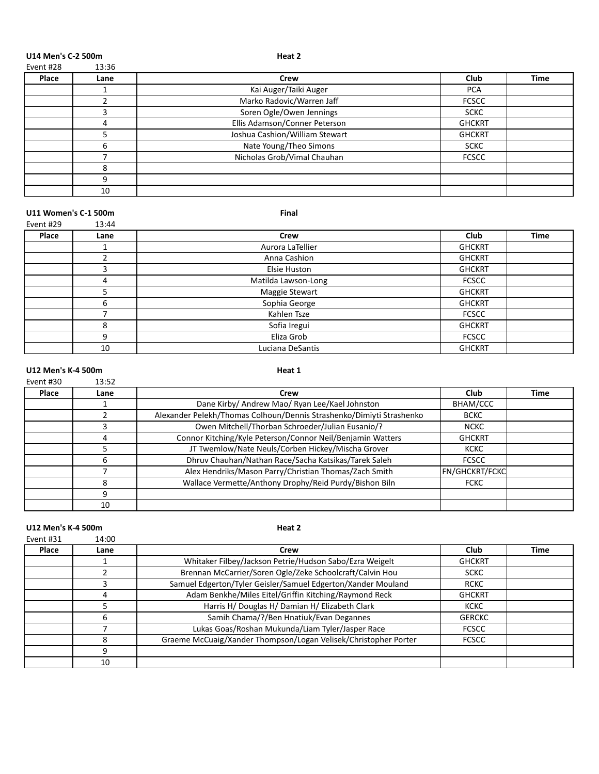U14 Men's C-2 500m **Heat 2** 

| าt #28<br>-- - |  |
|----------------|--|
|                |  |

| Place | Lane | Crew                           | Club          | <b>Time</b> |
|-------|------|--------------------------------|---------------|-------------|
|       |      | Kai Auger/Taiki Auger          | <b>PCA</b>    |             |
|       |      | Marko Radovic/Warren Jaff      | <b>FCSCC</b>  |             |
|       |      | Soren Ogle/Owen Jennings       | <b>SCKC</b>   |             |
|       | 4    | Ellis Adamson/Conner Peterson  | <b>GHCKRT</b> |             |
|       |      | Joshua Cashion/William Stewart | <b>GHCKRT</b> |             |
|       | 6    | Nate Young/Theo Simons         | <b>SCKC</b>   |             |
|       |      | Nicholas Grob/Vimal Chauhan    | <b>FCSCC</b>  |             |
|       | 8    |                                |               |             |
|       | ٩    |                                |               |             |
|       | 10   |                                |               |             |

#### **U11 Women's C-1 500m Final** Event #29 13:44

| ----------- | --⊶  |                       |               |             |
|-------------|------|-----------------------|---------------|-------------|
| Place       | Lane | Crew                  | <b>Club</b>   | <b>Time</b> |
|             |      | Aurora LaTellier      | <b>GHCKRT</b> |             |
|             |      | Anna Cashion          | <b>GHCKRT</b> |             |
|             |      | Elsie Huston          | <b>GHCKRT</b> |             |
|             | 4    | Matilda Lawson-Long   | <b>FCSCC</b>  |             |
|             |      | <b>Maggie Stewart</b> | <b>GHCKRT</b> |             |
|             | 6    | Sophia George         | <b>GHCKRT</b> |             |
|             |      | Kahlen Tsze           | <b>FCSCC</b>  |             |
|             | 8    | Sofia Iregui          | <b>GHCKRT</b> |             |
|             | q    | Eliza Grob            | <b>FCSCC</b>  |             |
|             | 10   | Luciana DeSantis      | <b>GHCKRT</b> |             |
|             |      |                       |               |             |

#### U12 Men's K-4 500m **Heat 1** Event #30 13:52

| Place | Lane | Crew                                                                 | <b>Club</b>           | <b>Time</b> |
|-------|------|----------------------------------------------------------------------|-----------------------|-------------|
|       |      | Dane Kirby/ Andrew Mao/ Ryan Lee/Kael Johnston                       | BHAM/CCC              |             |
|       |      | Alexander Pelekh/Thomas Colhoun/Dennis Strashenko/Dimiyti Strashenko | <b>BCKC</b>           |             |
|       |      | Owen Mitchell/Thorban Schroeder/Julian Eusanio/?                     | <b>NCKC</b>           |             |
|       | Д    | Connor Kitching/Kyle Peterson/Connor Neil/Benjamin Watters           | <b>GHCKRT</b>         |             |
|       |      | JT Twemlow/Nate Neuls/Corben Hickey/Mischa Grover                    | <b>KCKC</b>           |             |
|       |      | Dhruv Chauhan/Nathan Race/Sacha Katsikas/Tarek Saleh                 | <b>FCSCC</b>          |             |
|       |      | Alex Hendriks/Mason Parry/Christian Thomas/Zach Smith                | <b>FN/GHCKRT/FCKC</b> |             |
|       |      | Wallace Vermette/Anthony Drophy/Reid Purdy/Bishon Biln               | <b>FCKC</b>           |             |
|       | 9    |                                                                      |                       |             |
|       | 10   |                                                                      |                       |             |

#### U12 Men's K-4 500m Event #31 14:00

| Place | Lane | Crew                                                            | Club          | Time |
|-------|------|-----------------------------------------------------------------|---------------|------|
|       |      | Whitaker Filbey/Jackson Petrie/Hudson Sabo/Ezra Weigelt         | <b>GHCKRT</b> |      |
|       |      | Brennan McCarrier/Soren Ogle/Zeke Schoolcraft/Calvin Hou        | <b>SCKC</b>   |      |
|       |      | Samuel Edgerton/Tyler Geisler/Samuel Edgerton/Xander Mouland    | <b>RCKC</b>   |      |
|       |      | Adam Benkhe/Miles Eitel/Griffin Kitching/Raymond Reck           | <b>GHCKRT</b> |      |
|       |      | Harris H/ Douglas H/ Damian H/ Elizabeth Clark                  | <b>KCKC</b>   |      |
|       |      | Samih Chama/?/Ben Hnatiuk/Evan Degannes                         | <b>GERCKC</b> |      |
|       |      | Lukas Goas/Roshan Mukunda/Liam Tyler/Jasper Race                | <b>FCSCC</b>  |      |
|       |      | Graeme McCuaig/Xander Thompson/Logan Velisek/Christopher Porter | <b>FCSCC</b>  |      |
|       |      |                                                                 |               |      |
|       | 10   |                                                                 |               |      |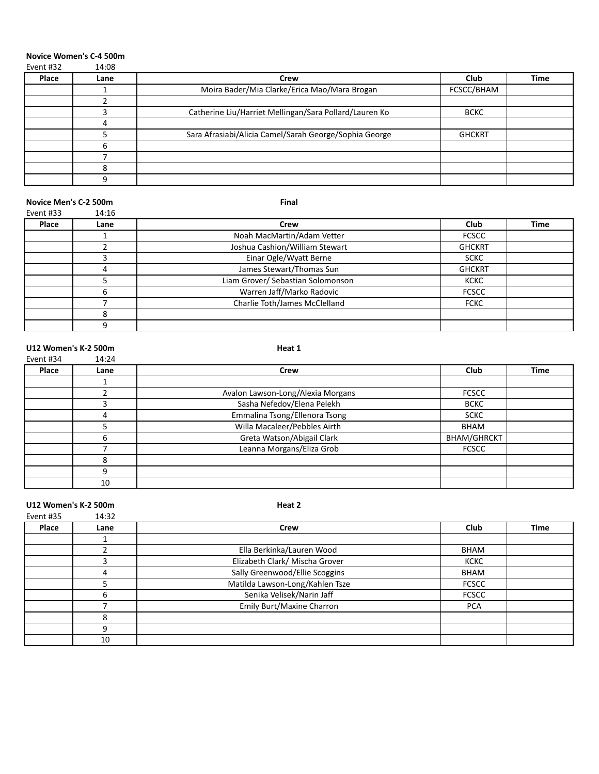#### **Novice Women's C-4 500m**

| Event #32 | 14:08 |                                                        |               |             |
|-----------|-------|--------------------------------------------------------|---------------|-------------|
| Place     | Lane  | Crew                                                   | Club          | <b>Time</b> |
|           |       | Moira Bader/Mia Clarke/Erica Mao/Mara Brogan           | FCSCC/BHAM    |             |
|           |       |                                                        |               |             |
|           |       | Catherine Liu/Harriet Mellingan/Sara Pollard/Lauren Ko | <b>BCKC</b>   |             |
|           | 4     |                                                        |               |             |
|           |       | Sara Afrasiabi/Alicia Camel/Sarah George/Sophia George | <b>GHCKRT</b> |             |
|           | 6     |                                                        |               |             |
|           |       |                                                        |               |             |
|           | я     |                                                        |               |             |
|           | q     |                                                        |               |             |

#### **Novice Men's C-2 500m Final**

| Event #33 | 14:16  |                                   |               |             |
|-----------|--------|-----------------------------------|---------------|-------------|
| Place     | Lane   | Crew                              | Club          | <b>Time</b> |
|           |        | Noah MacMartin/Adam Vetter        | <b>FCSCC</b>  |             |
|           |        | Joshua Cashion/William Stewart    | <b>GHCKRT</b> |             |
|           |        | Einar Ogle/Wyatt Berne            | <b>SCKC</b>   |             |
|           | 4      | James Stewart/Thomas Sun          | <b>GHCKRT</b> |             |
|           |        | Liam Grover/ Sebastian Solomonson | <b>KCKC</b>   |             |
|           | 6      | Warren Jaff/Marko Radovic         | <b>FCSCC</b>  |             |
|           |        | Charlie Toth/James McClelland     | <b>FCKC</b>   |             |
|           | o<br>^ |                                   |               |             |
|           |        |                                   |               |             |

#### U12 Women's K-2 500m **Heat 1**

| Event #34 | 14:24 |                                   |                    |             |
|-----------|-------|-----------------------------------|--------------------|-------------|
| Place     | Lane  | Crew                              | Club               | <b>Time</b> |
|           |       |                                   |                    |             |
|           |       | Avalon Lawson-Long/Alexia Morgans | <b>FCSCC</b>       |             |
|           |       | Sasha Nefedov/Elena Pelekh        | <b>BCKC</b>        |             |
|           | 4     | Emmalina Tsong/Ellenora Tsong     | <b>SCKC</b>        |             |
|           |       | Willa Macaleer/Pebbles Airth      | <b>BHAM</b>        |             |
|           | 6     | Greta Watson/Abigail Clark        | <b>BHAM/GHRCKT</b> |             |
|           |       | Leanna Morgans/Eliza Grob         | <b>FCSCC</b>       |             |
|           | 8     |                                   |                    |             |
|           | 9     |                                   |                    |             |
|           | 10    |                                   |                    |             |

U12 Women's K-2 500m **Heat 2** 

| Event #35 | 14:32 |                                 |              |             |
|-----------|-------|---------------------------------|--------------|-------------|
| Place     | Lane  | Crew                            | Club         | <b>Time</b> |
|           |       |                                 |              |             |
|           |       | Ella Berkinka/Lauren Wood       | <b>BHAM</b>  |             |
|           |       | Elizabeth Clark/ Mischa Grover  | <b>KCKC</b>  |             |
|           | 4     | Sally Greenwood/Ellie Scoggins  | BHAM         |             |
|           |       | Matilda Lawson-Long/Kahlen Tsze | <b>FCSCC</b> |             |
|           | 6     | Senika Velisek/Narin Jaff       | <b>FCSCC</b> |             |
|           |       | Emily Burt/Maxine Charron       | <b>PCA</b>   |             |
|           | 8     |                                 |              |             |
|           | 9     |                                 |              |             |
|           | 10    |                                 |              |             |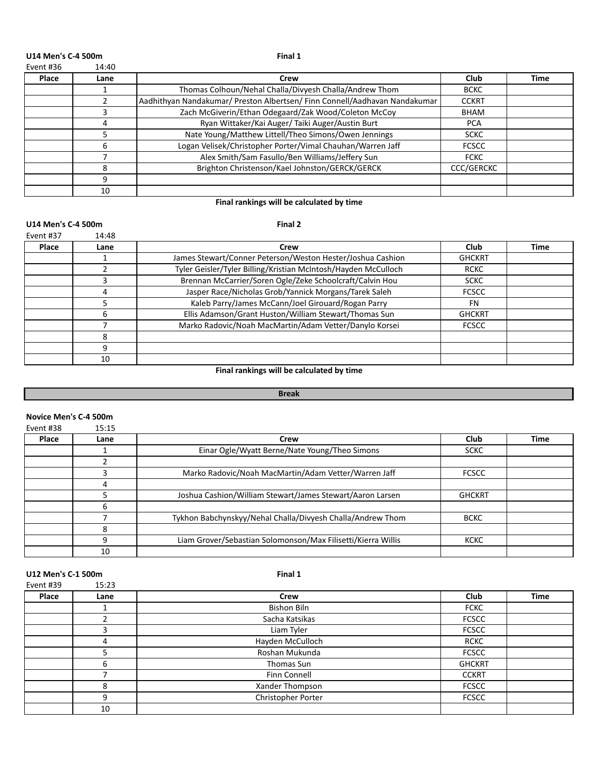#### U14 Men's C-4 500m **Final 1**

| 14:40<br>Event #36 |
|--------------------|
|--------------------|

| Place | Lane | Crew                                                                       | Club              | Time |
|-------|------|----------------------------------------------------------------------------|-------------------|------|
|       |      | Thomas Colhoun/Nehal Challa/Divyesh Challa/Andrew Thom                     | <b>BCKC</b>       |      |
|       |      | Aadhithyan Nandakumar/ Preston Albertsen/ Finn Connell/Aadhavan Nandakumar | <b>CCKRT</b>      |      |
|       |      | Zach McGiverin/Ethan Odegaard/Zak Wood/Coleton McCoy                       | <b>BHAM</b>       |      |
|       |      | Ryan Wittaker/Kai Auger/ Taiki Auger/Austin Burt                           | <b>PCA</b>        |      |
|       |      | Nate Young/Matthew Littell/Theo Simons/Owen Jennings                       | <b>SCKC</b>       |      |
|       | 6    | Logan Velisek/Christopher Porter/Vimal Chauhan/Warren Jaff                 | <b>FCSCC</b>      |      |
|       |      | Alex Smith/Sam Fasullo/Ben Williams/Jeffery Sun                            | <b>FCKC</b>       |      |
|       |      | Brighton Christenson/Kael Johnston/GERCK/GERCK                             | <b>CCC/GERCKC</b> |      |
|       | q    |                                                                            |                   |      |
|       | 10   |                                                                            |                   |      |

#### Final rankings will be calculated by time

#### U14 Men's C-4 500m **Final 2**

| Event #37 | 14:48 |                                                                |               |      |
|-----------|-------|----------------------------------------------------------------|---------------|------|
| Place     | Lane  | Crew                                                           | Club          | Time |
|           |       | James Stewart/Conner Peterson/Weston Hester/Joshua Cashion     | <b>GHCKRT</b> |      |
|           |       | Tyler Geisler/Tyler Billing/Kristian McIntosh/Hayden McCulloch | <b>RCKC</b>   |      |
|           |       | Brennan McCarrier/Soren Ogle/Zeke Schoolcraft/Calvin Hou       | <b>SCKC</b>   |      |
|           |       | Jasper Race/Nicholas Grob/Yannick Morgans/Tarek Saleh          | <b>FCSCC</b>  |      |
|           |       | Kaleb Parry/James McCann/Joel Girouard/Rogan Parry             | <b>FN</b>     |      |
|           | 6     | Ellis Adamson/Grant Huston/William Stewart/Thomas Sun          | <b>GHCKRT</b> |      |
|           |       | Marko Radovic/Noah MacMartin/Adam Vetter/Danylo Korsei         | <b>FCSCC</b>  |      |
|           | 8     |                                                                |               |      |
|           | q     |                                                                |               |      |
|           | 10    |                                                                |               |      |

## **Final rankings will be calculated by time**

### **Break**

#### **Novice Men's C-4 500m**

| Event #38 | 15:15 |                                                              |               |             |
|-----------|-------|--------------------------------------------------------------|---------------|-------------|
| Place     | Lane  | Crew                                                         | Club          | <b>Time</b> |
|           |       | Einar Ogle/Wyatt Berne/Nate Young/Theo Simons                | <b>SCKC</b>   |             |
|           |       |                                                              |               |             |
|           | っ     | Marko Radovic/Noah MacMartin/Adam Vetter/Warren Jaff         | <b>FCSCC</b>  |             |
|           | 4     |                                                              |               |             |
|           |       | Joshua Cashion/William Stewart/James Stewart/Aaron Larsen    | <b>GHCKRT</b> |             |
|           | 6     |                                                              |               |             |
|           |       | Tykhon Babchynskyy/Nehal Challa/Divyesh Challa/Andrew Thom   | <b>BCKC</b>   |             |
|           | 8     |                                                              |               |             |
|           | 9     | Liam Grover/Sebastian Solomonson/Max Filisetti/Kierra Willis | <b>KCKC</b>   |             |
|           | 10    |                                                              |               |             |

# **U12** Men's C-1 500m **Final 1**<br>Final 1  $\frac{15 \cdot 23}{2}$

| Event #39 | 15:23 |                    |               |             |
|-----------|-------|--------------------|---------------|-------------|
| Place     | Lane  | Crew               | Club          | <b>Time</b> |
|           |       | <b>Bishon Biln</b> | <b>FCKC</b>   |             |
|           |       | Sacha Katsikas     | <b>FCSCC</b>  |             |
|           |       | Liam Tyler         | <b>FCSCC</b>  |             |
|           | 4     | Hayden McCulloch   | <b>RCKC</b>   |             |
|           |       | Roshan Mukunda     | <b>FCSCC</b>  |             |
|           | 6     | Thomas Sun         | <b>GHCKRT</b> |             |
|           |       | Finn Connell       | <b>CCKRT</b>  |             |
|           | 8     | Xander Thompson    | <b>FCSCC</b>  |             |
|           | 9     | Christopher Porter | <b>FCSCC</b>  |             |
|           | 10    |                    |               |             |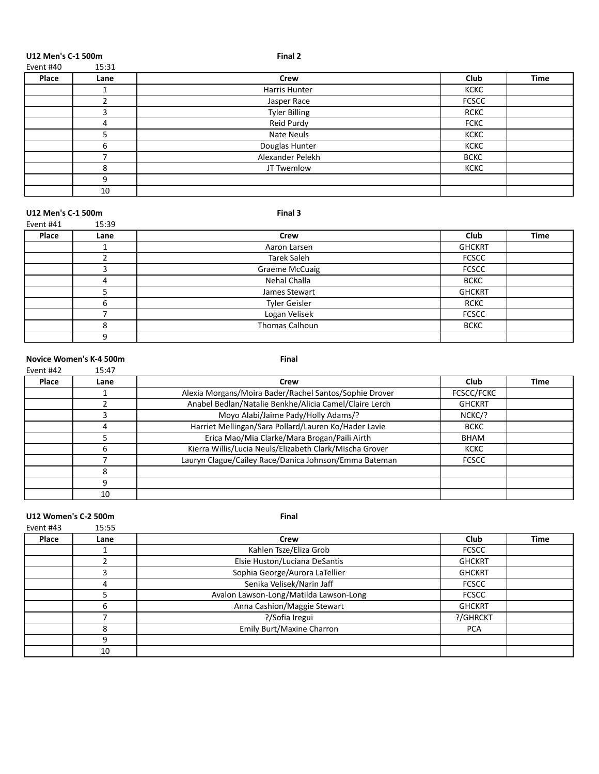**U12** Men's C-1 500m<br>Final 2<br>Final 2<br> $\frac{15 \cdot 21}{2}$ 

| Event #40 | 15:31 |                      |              |             |
|-----------|-------|----------------------|--------------|-------------|
| Place     | Lane  | <b>Crew</b>          | Club         | <b>Time</b> |
|           |       | Harris Hunter        | <b>KCKC</b>  |             |
|           |       | Jasper Race          | <b>FCSCC</b> |             |
|           |       | <b>Tyler Billing</b> | <b>RCKC</b>  |             |
|           | 4     | Reid Purdy           | <b>FCKC</b>  |             |
|           |       | Nate Neuls           | <b>KCKC</b>  |             |
|           | 6     | Douglas Hunter       | <b>KCKC</b>  |             |
|           |       | Alexander Pelekh     | <b>BCKC</b>  |             |
|           | 8     | JT Twemlow           | <b>KCKC</b>  |             |
|           | q     |                      |              |             |
|           | 10    |                      |              |             |

#### U12 Men's C-1 500m **Final 3**

| Event #41 | 15:39 |                       |               |             |
|-----------|-------|-----------------------|---------------|-------------|
| Place     | Lane  | Crew                  | Club          | <b>Time</b> |
|           |       | Aaron Larsen          | <b>GHCKRT</b> |             |
|           |       | Tarek Saleh           | <b>FCSCC</b>  |             |
|           |       | <b>Graeme McCuaig</b> | <b>FCSCC</b>  |             |
|           | 4     | Nehal Challa          | <b>BCKC</b>   |             |
|           |       | James Stewart         | <b>GHCKRT</b> |             |
|           | b     | Tyler Geisler         | <b>RCKC</b>   |             |
|           |       | Logan Velisek         | <b>FCSCC</b>  |             |
|           | 8     | Thomas Calhoun        | <b>BCKC</b>   |             |
|           | 9     |                       |               |             |

#### **Novice Women's K-4 500m Final**

#### Event #42 15:47 **Place Lane Crew Club Time** 1 Alexia Morgans/Moira Bader/Rachel Santos/Sophie Drover FCSCC/FCKC 2 Anabel Bedlan/Natalie Benkhe/Alicia Camel/Claire Lerch GHCKRT 3 Moyo Alabi/Jaime Pady/Holly Adams/? NCKC/? 4 Harriet Mellingan/Sara Pollard/Lauren Ko/Hader Lavie BCKC **Erica Mao/Mia Clarke/Mara Brogan/Paili** Airth BHAM 6 Kierra Willis/Lucia Neuls/Elizabeth Clark/Mischa Grover KCKC 7 Lauryn Clague/Cailey Race/Danica Johnson/Emma Bateman | FCSCC

**U12 Women's C-2 500m Final**<br>Event #43 **15:55 Final** 

| Event #43 | 15:55 |                                        |               |             |
|-----------|-------|----------------------------------------|---------------|-------------|
| Place     | Lane  | Crew                                   | <b>Club</b>   | <b>Time</b> |
|           |       | Kahlen Tsze/Eliza Grob                 | <b>FCSCC</b>  |             |
|           |       | Elsie Huston/Luciana DeSantis          | <b>GHCKRT</b> |             |
|           |       | Sophia George/Aurora LaTellier         | <b>GHCKRT</b> |             |
|           | 4     | Senika Velisek/Narin Jaff              | <b>FCSCC</b>  |             |
|           |       | Avalon Lawson-Long/Matilda Lawson-Long | <b>FCSCC</b>  |             |
|           | 6     | Anna Cashion/Maggie Stewart            | <b>GHCKRT</b> |             |
|           |       | ?/Sofia Iregui                         | ?/GHRCKT      |             |
|           | 8     | <b>Emily Burt/Maxine Charron</b>       | <b>PCA</b>    |             |
|           | 9     |                                        |               |             |
|           | 10    |                                        |               |             |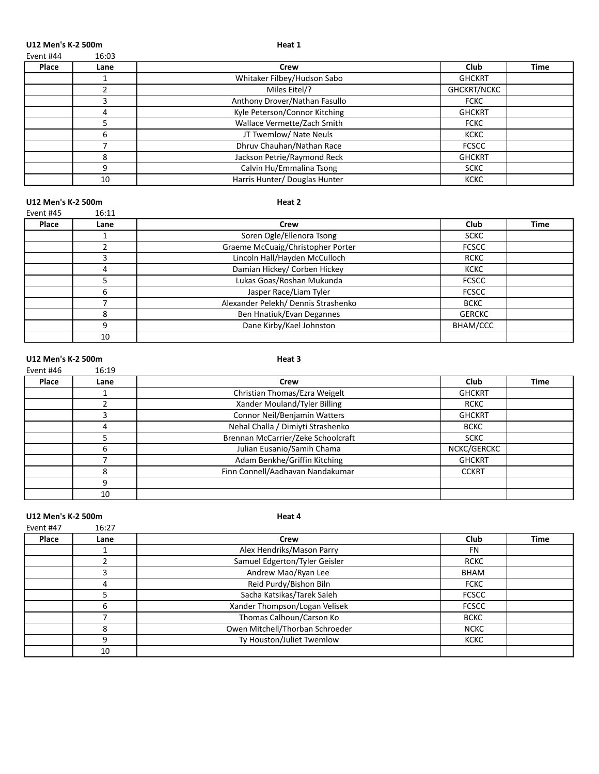U12 Men's K-2 500m **Heat 1** 

| Event #44 | 16:03 |
|-----------|-------|
|           |       |

| Place | Lane | Crew                          | Club               | <b>Time</b> |
|-------|------|-------------------------------|--------------------|-------------|
|       |      | Whitaker Filbey/Hudson Sabo   | <b>GHCKRT</b>      |             |
|       |      | Miles Eitel/?                 | <b>GHCKRT/NCKC</b> |             |
|       |      | Anthony Drover/Nathan Fasullo | <b>FCKC</b>        |             |
|       |      | Kyle Peterson/Connor Kitching | <b>GHCKRT</b>      |             |
|       |      | Wallace Vermette/Zach Smith   | <b>FCKC</b>        |             |
|       | h    | JT Twemlow/ Nate Neuls        | <b>KCKC</b>        |             |
|       |      | Dhruv Chauhan/Nathan Race     | <b>FCSCC</b>       |             |
|       | 8    | Jackson Petrie/Raymond Reck   | <b>GHCKRT</b>      |             |
|       |      | Calvin Hu/Emmalina Tsong      | <b>SCKC</b>        |             |
|       | 10   | Harris Hunter/ Douglas Hunter | <b>KCKC</b>        |             |

#### U12 Men's K-2 500m and the state of the state of the state of the state of the state of the state of the state of the state of the state of the state of the state of the state of the state of the state of the state of the Event #45 16:11

| Place | Lane | Crew                                | Club          | <b>Time</b> |
|-------|------|-------------------------------------|---------------|-------------|
|       |      | Soren Ogle/Ellenora Tsong           | <b>SCKC</b>   |             |
|       |      | Graeme McCuaig/Christopher Porter   | <b>FCSCC</b>  |             |
|       |      | Lincoln Hall/Hayden McCulloch       | <b>RCKC</b>   |             |
|       | Δ    | Damian Hickey/ Corben Hickey        | <b>KCKC</b>   |             |
|       |      | Lukas Goas/Roshan Mukunda           | <b>FCSCC</b>  |             |
|       | 6    | Jasper Race/Liam Tyler              | <b>FCSCC</b>  |             |
|       |      | Alexander Pelekh/ Dennis Strashenko | <b>BCKC</b>   |             |
|       | 8    | Ben Hnatiuk/Evan Degannes           | <b>GERCKC</b> |             |
|       | 9    | Dane Kirby/Kael Johnston            | BHAM/CCC      |             |
|       | 10   |                                     |               |             |

#### U12 Men's K-2 500m and the state of the state of the state of the state of the state of the state of the state of the state of the state of the state of the state of the state of the state of the state of the state of the

| Event #46 | 16:19 |                                    |               |      |
|-----------|-------|------------------------------------|---------------|------|
| Place     | Lane  | Crew                               | Club          | Time |
|           |       | Christian Thomas/Ezra Weigelt      | <b>GHCKRT</b> |      |
|           |       | Xander Mouland/Tyler Billing       | <b>RCKC</b>   |      |
|           | 3     | Connor Neil/Benjamin Watters       | <b>GHCKRT</b> |      |
|           | 4     | Nehal Challa / Dimiyti Strashenko  | <b>BCKC</b>   |      |
|           | 5     | Brennan McCarrier/Zeke Schoolcraft | <b>SCKC</b>   |      |
|           | 6     | Julian Eusanio/Samih Chama         | NCKC/GERCKC   |      |
|           |       | Adam Benkhe/Griffin Kitching       | <b>GHCKRT</b> |      |
|           | 8     | Finn Connell/Aadhavan Nandakumar   | <b>CCKRT</b>  |      |
|           | 9     |                                    |               |      |
|           | 10    |                                    |               |      |

U12 Men's K-2 500m **Heat 4** 

| Event #47 | 16:27 |                                 |              |             |
|-----------|-------|---------------------------------|--------------|-------------|
| Place     | Lane  | Crew                            | Club         | <b>Time</b> |
|           |       | Alex Hendriks/Mason Parry       | <b>FN</b>    |             |
|           |       | Samuel Edgerton/Tyler Geisler   | <b>RCKC</b>  |             |
|           |       | Andrew Mao/Ryan Lee             | <b>BHAM</b>  |             |
|           | 4     | Reid Purdy/Bishon Biln          | <b>FCKC</b>  |             |
|           |       | Sacha Katsikas/Tarek Saleh      | <b>FCSCC</b> |             |
|           | h     | Xander Thompson/Logan Velisek   | <b>FCSCC</b> |             |
|           |       | Thomas Calhoun/Carson Ko        | <b>BCKC</b>  |             |
|           | 8     | Owen Mitchell/Thorban Schroeder | <b>NCKC</b>  |             |
|           | q     | Ty Houston/Juliet Twemlow       | <b>KCKC</b>  |             |
|           | 10    |                                 |              |             |